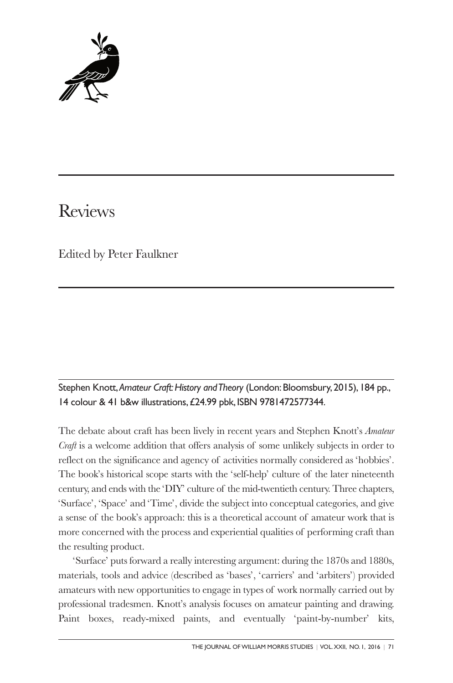

# Reviews

Edited by Peter Faulkner

## Stephen Knott,*Amateur Craft:History andTheory* (London:Bloomsbury, 2015), 184 pp., 14 colour & 41 b&w illustrations,£24.99 pbk, ISBN 9781472577344.

The debate about craft has been lively in recent years and Stephen Knott's *Amateur Craft* is a welcome addition that offers analysis of some unlikely subjects in order to reflect on the significance and agency of activities normally considered as 'hobbies'. The book's historical scope starts with the 'self-help' culture of the later nineteenth century, and ends with the 'DIY' culture of the mid-twentieth century. Three chapters, 'Surface', 'Space' and 'Time', divide the subject into conceptual categories, and give a sense of the book's approach: this is a theoretical account of amateur work that is more concerned with the process and experiential qualities of performing craft than the resulting product.

'Surface' puts forward a really interesting argument: during the 1870s and 1880s, materials, tools and advice (described as 'bases', 'carriers' and 'arbiters') provided amateurs with new opportunities to engage in types of work normally carried out by professional tradesmen. Knott's analysis focuses on amateur painting and drawing. Paint boxes, ready-mixed paints, and eventually 'paint-by-number' kits,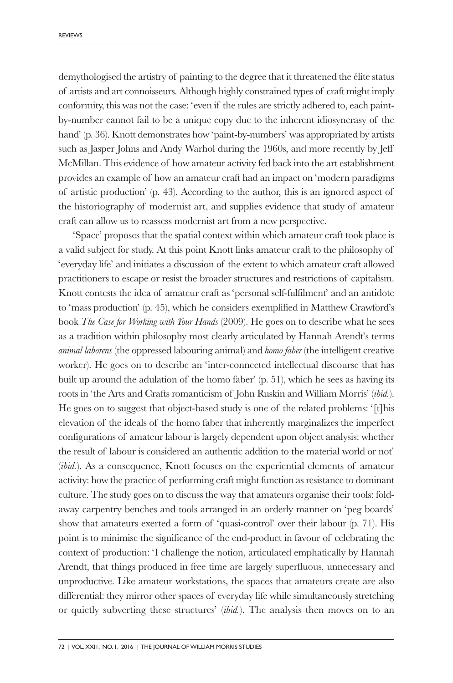demythologised the artistry of painting to the degree that it threatened the élite status of artists and art connoisseurs. Although highly constrained types of craft might imply conformity, this was not the case: 'even if the rules are strictly adhered to, each paintby-number cannot fail to be a unique copy due to the inherent idiosyncrasy of the hand' (p. 36). Knott demonstrates how 'paint-by-numbers' was appropriated by artists such as Jasper Johns and Andy Warhol during the 1960s, and more recently by Jeff McMillan. This evidence of how amateur activity fed back into the art establishment provides an example of how an amateur craft had an impact on 'modern paradigms of artistic production' (p. 43). According to the author, this is an ignored aspect of the historiography of modernist art, and supplies evidence that study of amateur craft can allow us to reassess modernist art from a new perspective.

'Space' proposes that the spatial context within which amateur craft took place is a valid subject for study. At this point Knott links amateur craft to the philosophy of 'everyday life' and initiates a discussion of the extent to which amateur craft allowed practitioners to escape or resist the broader structures and restrictions of capitalism. Knott contests the idea of amateur craft as 'personal self-fulfilment' and an antidote to 'mass production' (p. 45), which he considers exemplified in Matthew Crawford's book *The Case for Working with Your Hands* (2009). He goes on to describe what he sees as a tradition within philosophy most clearly articulated by Hannah Arendt's terms *animal laborens* (the oppressed labouring animal) and *homo faber* (the intelligent creative worker). He goes on to describe an 'inter-connected intellectual discourse that has built up around the adulation of the homo faber' (p. 51), which he sees as having its roots in 'the Arts and Crafts romanticism of John Ruskin and William Morris' (*ibid.*). He goes on to suggest that object-based study is one of the related problems: '[t]his elevation of the ideals of the homo faber that inherently marginalizes the imperfect configurations of amateur labour is largely dependent upon object analysis: whether the result of labour is considered an authentic addition to the material world or not' (*ibid.*). As a consequence, Knott focuses on the experiential elements of amateur activity: how the practice of performing craft might function as resistance to dominant culture. The study goes on to discuss the way that amateurs organise their tools: foldaway carpentry benches and tools arranged in an orderly manner on 'peg boards' show that amateurs exerted a form of 'quasi-control' over their labour (p. 71). His point is to minimise the significance of the end-product in favour of celebrating the context of production: 'I challenge the notion, articulated emphatically by Hannah Arendt, that things produced in free time are largely superfluous, unnecessary and unproductive. Like amateur workstations, the spaces that amateurs create are also differential: they mirror other spaces of everyday life while simultaneously stretching or quietly subverting these structures' (*ibid.*). The analysis then moves on to an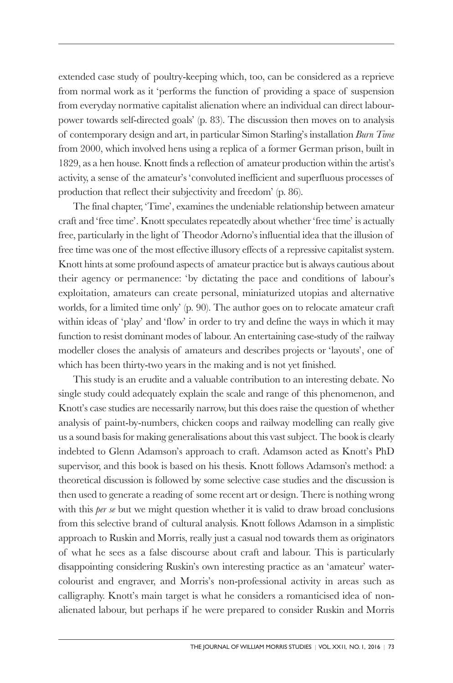extended case study of poultry-keeping which, too, can be considered as a reprieve from normal work as it 'performs the function of providing a space of suspension from everyday normative capitalist alienation where an individual can direct labourpower towards self-directed goals' (p. 83). The discussion then moves on to analysis of contemporary design and art, in particular Simon Starling's installation *Burn Time* from 2000, which involved hens using a replica of a former German prison, built in 1829, as a hen house. Knott finds a reflection of amateur production within the artist's activity, a sense of the amateur's 'convoluted inefficient and superfluous processes of production that reflect their subjectivity and freedom' (p. 86).

The final chapter, 'Time', examines the undeniable relationship between amateur craft and 'free time'. Knott speculates repeatedly about whether 'free time' is actually free, particularly in the light of Theodor Adorno's influential idea that the illusion of free time was one of the most effective illusory effects of a repressive capitalist system. Knott hints at some profound aspects of amateur practice but is always cautious about their agency or permanence: 'by dictating the pace and conditions of labour's exploitation, amateurs can create personal, miniaturized utopias and alternative worlds, for a limited time only' (p. 90). The author goes on to relocate amateur craft within ideas of 'play' and 'flow' in order to try and define the ways in which it may function to resist dominant modes of labour. An entertaining case-study of the railway modeller closes the analysis of amateurs and describes projects or 'layouts', one of which has been thirty-two years in the making and is not yet finished.

This study is an erudite and a valuable contribution to an interesting debate. No single study could adequately explain the scale and range of this phenomenon, and Knott's case studies are necessarily narrow, but this does raise the question of whether analysis of paint-by-numbers, chicken coops and railway modelling can really give us a sound basis for making generalisations about this vast subject. The book is clearly indebted to Glenn Adamson's approach to craft. Adamson acted as Knott's PhD supervisor, and this book is based on his thesis. Knott follows Adamson's method: a theoretical discussion is followed by some selective case studies and the discussion is then used to generate a reading of some recent art or design. There is nothing wrong with this *per se* but we might question whether it is valid to draw broad conclusions from this selective brand of cultural analysis. Knott follows Adamson in a simplistic approach to Ruskin and Morris, really just a casual nod towards them as originators of what he sees as a false discourse about craft and labour. This is particularly disappointing considering Ruskin's own interesting practice as an 'amateur' watercolourist and engraver, and Morris's non-professional activity in areas such as calligraphy. Knott's main target is what he considers a romanticised idea of nonalienated labour, but perhaps if he were prepared to consider Ruskin and Morris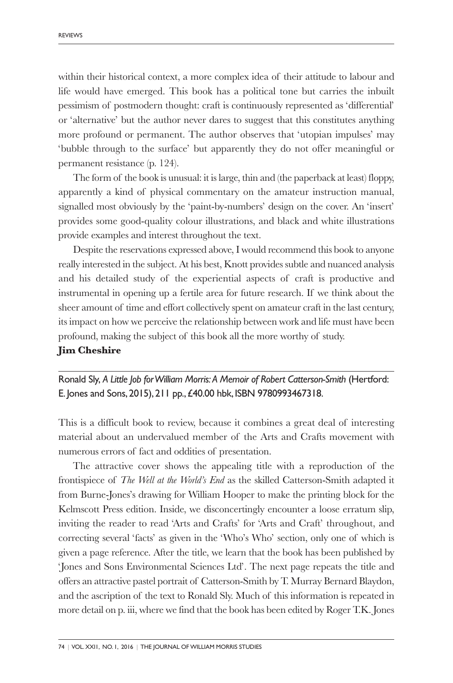within their historical context, a more complex idea of their attitude to labour and life would have emerged. This book has a political tone but carries the inbuilt pessimism of postmodern thought: craft is continuously represented as 'differential' or 'alternative' but the author never dares to suggest that this constitutes anything more profound or permanent. The author observes that 'utopian impulses' may 'bubble through to the surface' but apparently they do not offer meaningful or permanent resistance (p. 124).

The form of the book is unusual: it is large, thin and (the paperback at least) floppy, apparently a kind of physical commentary on the amateur instruction manual, signalled most obviously by the 'paint-by-numbers' design on the cover. An 'insert' provides some good-quality colour illustrations, and black and white illustrations provide examples and interest throughout the text.

Despite the reservations expressed above, I would recommend this book to anyone really interested in the subject. At his best, Knott provides subtle and nuanced analysis and his detailed study of the experiential aspects of craft is productive and instrumental in opening up a fertile area for future research. If we think about the sheer amount of time and effort collectively spent on amateur craft in the last century, its impact on how we perceive the relationship between work and life must have been profound, making the subject of this book all the more worthy of study. **Jim Cheshire**

Ronald Sly, *A Little Job forWilliam Morris: A Memoir of Robert Catterson-Smith* (Hertford: E. Jones and Sons, 2015), 211 pp.,£40.00 hbk, ISBN 9780993467318.

This is a difficult book to review, because it combines a great deal of interesting material about an undervalued member of the Arts and Crafts movement with numerous errors of fact and oddities of presentation.

The attractive cover shows the appealing title with a reproduction of the frontispiece of *The Well at the World's End* as the skilled Catterson-Smith adapted it from Burne-Jones's drawing for William Hooper to make the printing block for the Kelmscott Press edition. Inside, we disconcertingly encounter a loose erratum slip, inviting the reader to read 'Arts and Crafts' for 'Arts and Craft' throughout, and correcting several 'facts' as given in the 'Who's Who' section, only one of which is given a page reference. After the title, we learn that the book has been published by 'Jones and Sons Environmental Sciences Ltd'. The next page repeats the title and offers an attractive pastel portrait of Catterson-Smith by T. Murray Bernard Blaydon, and the ascription of the text to Ronald Sly. Much of this information is repeated in more detail on p. iii, where we find that the book has been edited by Roger T.K. Jones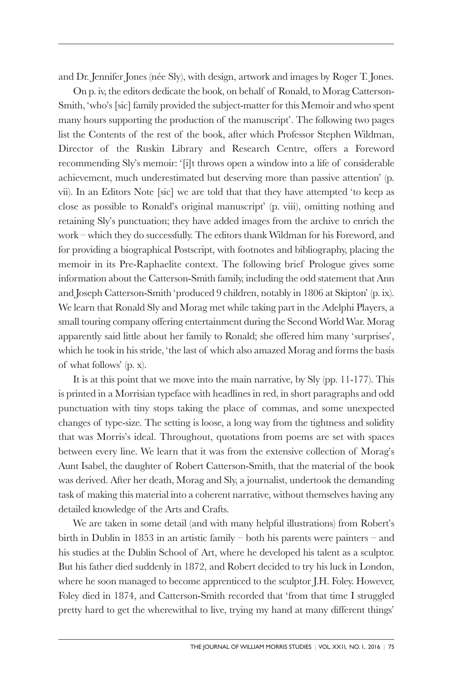and Dr. Jennifer Jones (née Sly), with design, artwork and images by Roger T. Jones.

On p. iv, the editors dedicate the book, on behalf of Ronald, to Morag Catterson-Smith, 'who's [sic] family provided the subject-matter for this Memoir and who spent many hours supporting the production of the manuscript'. The following two pages list the Contents of the rest of the book, after which Professor Stephen Wildman, Director of the Ruskin Library and Research Centre, offers a Foreword recommending Sly's memoir: '[i]t throws open a window into a life of considerable achievement, much underestimated but deserving more than passive attention' (p. vii). In an Editors Note [sic] we are told that that they have attempted 'to keep as close as possible to Ronald's original manuscript' (p. viii), omitting nothing and retaining Sly's punctuation; they have added images from the archive to enrich the work – which they do successfully. The editors thank Wildman for his Foreword, and for providing a biographical Postscript, with footnotes and bibliography, placing the memoir in its Pre-Raphaelite context. The following brief Prologue gives some information about the Catterson-Smith family, including the odd statement that Ann and Joseph Catterson-Smith 'produced 9 children, notably in 1806 at Skipton' (p. ix). We learn that Ronald Sly and Morag met while taking part in the Adelphi Players, a small touring company offering entertainment during the Second World War. Morag apparently said little about her family to Ronald; she offered him many 'surprises', which he took in his stride, 'the last of which also amazed Morag and forms the basis of what follows' (p. x).

It is at this point that we move into the main narrative, by Sly (pp. 11-177). This is printed in a Morrisian typeface with headlines in red, in short paragraphs and odd punctuation with tiny stops taking the place of commas, and some unexpected changes of type-size. The setting is loose, a long way from the tightness and solidity that was Morris's ideal. Throughout, quotations from poems are set with spaces between every line. We learn that it was from the extensive collection of Morag's Aunt Isabel, the daughter of Robert Catterson-Smith, that the material of the book was derived. After her death, Morag and Sly, a journalist, undertook the demanding task of making this material into a coherent narrative, without themselves having any detailed knowledge of the Arts and Crafts.

We are taken in some detail (and with many helpful illustrations) from Robert's birth in Dublin in 1853 in an artistic family – both his parents were painters – and his studies at the Dublin School of Art, where he developed his talent as a sculptor. But his father died suddenly in 1872, and Robert decided to try his luck in London, where he soon managed to become apprenticed to the sculptor J.H. Foley. However, Foley died in 1874, and Catterson-Smith recorded that 'from that time I struggled pretty hard to get the wherewithal to live, trying my hand at many different things'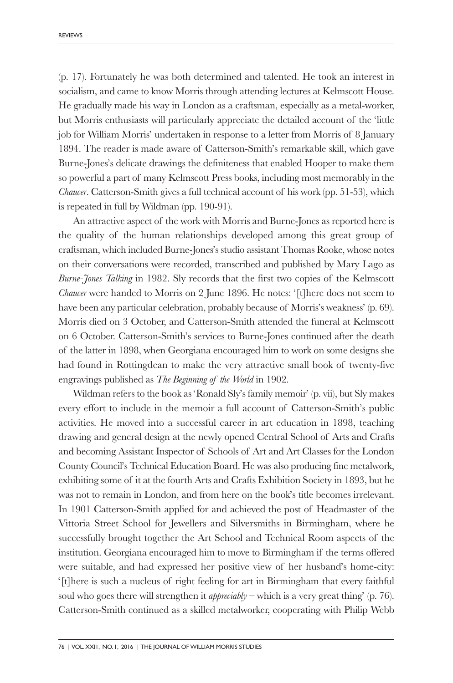(p. 17). Fortunately he was both determined and talented. He took an interest in socialism, and came to know Morris through attending lectures at Kelmscott House. He gradually made his way in London as a craftsman, especially as a metal-worker, but Morris enthusiasts will particularly appreciate the detailed account of the 'little job for William Morris' undertaken in response to a letter from Morris of 8 January 1894. The reader is made aware of Catterson-Smith's remarkable skill, which gave Burne-Jones's delicate drawings the definiteness that enabled Hooper to make them so powerful a part of many Kelmscott Press books, including most memorably in the *Chaucer*. Catterson-Smith gives a full technical account of his work (pp. 51-53), which is repeated in full by Wildman (pp. 190-91).

An attractive aspect of the work with Morris and Burne-Jones as reported here is the quality of the human relationships developed among this great group of craftsman, which included Burne-Jones's studio assistant Thomas Rooke, whose notes on their conversations were recorded, transcribed and published by Mary Lago as *Burne-Jones Talking* in 1982. Sly records that the first two copies of the Kelmscott *Chaucer* were handed to Morris on 2 June 1896. He notes: '[t]here does not seem to have been any particular celebration, probably because of Morris's weakness' (p. 69). Morris died on 3 October, and Catterson-Smith attended the funeral at Kelmscott on 6 October. Catterson-Smith's services to Burne-Jones continued after the death of the latter in 1898, when Georgiana encouraged him to work on some designs she had found in Rottingdean to make the very attractive small book of twenty-five engravings published as *The Beginning of the World* in 1902.

Wildman refers to the book as 'Ronald Sly's family memoir' (p. vii), but Sly makes every effort to include in the memoir a full account of Catterson-Smith's public activities. He moved into a successful career in art education in 1898, teaching drawing and general design at the newly opened Central School of Arts and Crafts and becoming Assistant Inspector of Schools of Art and Art Classes for the London County Council's Technical Education Board. He was also producing fine metalwork, exhibiting some of it at the fourth Arts and Crafts Exhibition Society in 1893, but he was not to remain in London, and from here on the book's title becomes irrelevant. In 1901 Catterson-Smith applied for and achieved the post of Headmaster of the Vittoria Street School for Jewellers and Silversmiths in Birmingham, where he successfully brought together the Art School and Technical Room aspects of the institution. Georgiana encouraged him to move to Birmingham if the terms offered were suitable, and had expressed her positive view of her husband's home-city: '[t]here is such a nucleus of right feeling for art in Birmingham that every faithful soul who goes there will strengthen it *appreciably* – which is a very great thing' (p. 76). Catterson-Smith continued as a skilled metalworker, cooperating with Philip Webb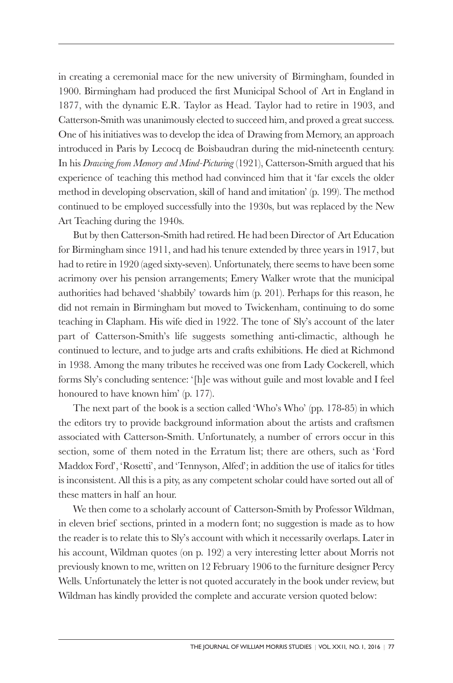in creating a ceremonial mace for the new university of Birmingham, founded in 1900. Birmingham had produced the first Municipal School of Art in England in 1877, with the dynamic E.R. Taylor as Head. Taylor had to retire in 1903, and Catterson-Smith was unanimously elected to succeed him, and proved a great success. One of his initiatives was to develop the idea of Drawing from Memory, an approach introduced in Paris by Lecocq de Boisbaudran during the mid-nineteenth century. In his *Drawing from Memory and Mind-Picturing* (1921), Catterson-Smith argued that his experience of teaching this method had convinced him that it 'far excels the older method in developing observation, skill of hand and imitation' (p. 199). The method continued to be employed successfully into the 1930s, but was replaced by the New Art Teaching during the 1940s.

But by then Catterson-Smith had retired. He had been Director of Art Education for Birmingham since 1911, and had his tenure extended by three years in 1917, but had to retire in 1920 (aged sixty-seven). Unfortunately, there seems to have been some acrimony over his pension arrangements; Emery Walker wrote that the municipal authorities had behaved 'shabbily' towards him (p. 201). Perhaps for this reason, he did not remain in Birmingham but moved to Twickenham, continuing to do some teaching in Clapham. His wife died in 1922. The tone of Sly's account of the later part of Catterson-Smith's life suggests something anti-climactic, although he continued to lecture, and to judge arts and crafts exhibitions. He died at Richmond in 1938. Among the many tributes he received was one from Lady Cockerell, which forms Sly's concluding sentence: '[h]e was without guile and most lovable and I feel honoured to have known him' (p. 177).

The next part of the book is a section called 'Who's Who' (pp. 178-85) in which the editors try to provide background information about the artists and craftsmen associated with Catterson-Smith. Unfortunately, a number of errors occur in this section, some of them noted in the Erratum list; there are others, such as 'Ford Maddox Ford', 'Rosetti', and 'Tennyson, Alfed'; in addition the use of italics for titles is inconsistent. All this is a pity, as any competent scholar could have sorted out all of these matters in half an hour.

We then come to a scholarly account of Catterson-Smith by Professor Wildman, in eleven brief sections, printed in a modern font; no suggestion is made as to how the reader is to relate this to Sly's account with which it necessarily overlaps. Later in his account, Wildman quotes (on p. 192) a very interesting letter about Morris not previously known to me, written on 12 February 1906 to the furniture designer Percy Wells. Unfortunately the letter is not quoted accurately in the book under review, but Wildman has kindly provided the complete and accurate version quoted below: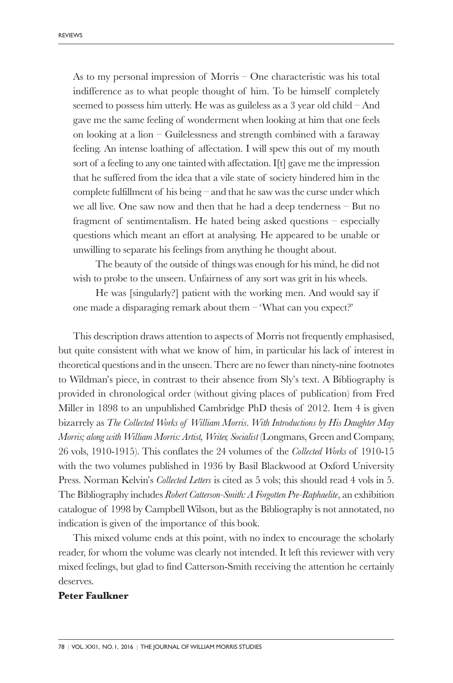As to my personal impression of Morris – One characteristic was his total indifference as to what people thought of him. To be himself completely seemed to possess him utterly. He was as guileless as a 3 year old child – And gave me the same feeling of wonderment when looking at him that one feels on looking at a lion – Guilelessness and strength combined with a faraway feeling. An intense loathing of affectation. I will spew this out of my mouth sort of a feeling to any one tainted with affectation. I[t] gave me the impression that he suffered from the idea that a vile state of society hindered him in the complete fulfillment of his being – and that he saw was the curse under which we all live. One saw now and then that he had a deep tenderness – But no fragment of sentimentalism. He hated being asked questions – especially questions which meant an effort at analysing. He appeared to be unable or unwilling to separate his feelings from anything he thought about.

The beauty of the outside of things was enough for his mind, he did not wish to probe to the unseen. Unfairness of any sort was grit in his wheels.

He was [singularly?] patient with the working men. And would say if one made a disparaging remark about them – 'What can you expect?'

This description draws attention to aspects of Morris not frequently emphasised, but quite consistent with what we know of him, in particular his lack of interest in theoretical questions and in the unseen. There are no fewer than ninety-nine footnotes to Wildman's piece, in contrast to their absence from Sly's text. A Bibliography is provided in chronological order (without giving places of publication) from Fred Miller in 1898 to an unpublished Cambridge PhD thesis of 2012. Item 4 is given bizarrely as *The Collected Works of William Morris*. *With Introductions by His Daughter May Morris; along with William Morris: Artist, Writer, Socialist* (Longmans, Green and Company, 26 vols, 1910-1915). This conflates the 24 volumes of the *Collected Works* of 1910-15 with the two volumes published in 1936 by Basil Blackwood at Oxford University Press. Norman Kelvin's *Collected Letters* is cited as 5 vols; this should read 4 vols in 5. The Bibliography includes *Robert Catterson-Smith: A Forgotten Pre-Raphaelite*, an exhibition catalogue of 1998 by Campbell Wilson, but as the Bibliography is not annotated, no indication is given of the importance of this book.

This mixed volume ends at this point, with no index to encourage the scholarly reader, for whom the volume was clearly not intended. It left this reviewer with very mixed feelings, but glad to find Catterson-Smith receiving the attention he certainly deserves.

#### **Peter Faulkner**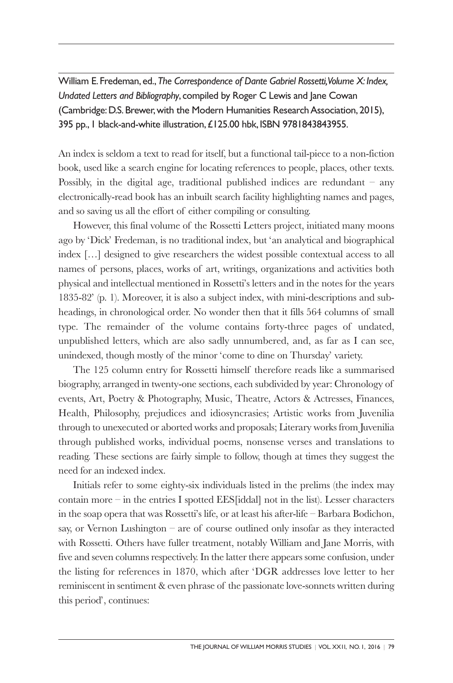William E. Fredeman, ed.,*The Correspondence of Dante Gabriel Rossetti,Volume X: Index, Undated Letters and Bibliography*, compiled by Roger C Lewis and Jane Cowan (Cambridge: D.S. Brewer, with the Modern Humanities Research Association, 2015), 395 pp., 1 black-and-white illustration,£125.00 hbk, ISBN 9781843843955.

An index is seldom a text to read for itself, but a functional tail-piece to a non-fiction book, used like a search engine for locating references to people, places, other texts. Possibly, in the digital age, traditional published indices are redundant  $-$  any electronically-read book has an inbuilt search facility highlighting names and pages, and so saving us all the effort of either compiling or consulting.

However, this final volume of the Rossetti Letters project, initiated many moons ago by 'Dick' Fredeman, is no traditional index, but 'an analytical and biographical index […] designed to give researchers the widest possible contextual access to all names of persons, places, works of art, writings, organizations and activities both physical and intellectual mentioned in Rossetti's letters and in the notes for the years 1835-82' (p. 1). Moreover, it is also a subject index, with mini-descriptions and subheadings, in chronological order. No wonder then that it fills 564 columns of small type. The remainder of the volume contains forty-three pages of undated, unpublished letters, which are also sadly unnumbered, and, as far as I can see, unindexed, though mostly of the minor 'come to dine on Thursday' variety.

The 125 column entry for Rossetti himself therefore reads like a summarised biography, arranged in twenty-one sections, each subdivided by year: Chronology of events, Art, Poetry & Photography, Music, Theatre, Actors & Actresses, Finances, Health, Philosophy, prejudices and idiosyncrasies; Artistic works from Juvenilia through to unexecuted or aborted works and proposals; Literary works from Juvenilia through published works, individual poems, nonsense verses and translations to reading. These sections are fairly simple to follow, though at times they suggest the need for an indexed index.

Initials refer to some eighty-six individuals listed in the prelims (the index may contain more – in the entries I spotted EES [iddal] not in the list). Lesser characters in the soap opera that was Rossetti's life, or at least his after-life – Barbara Bodichon, say, or Vernon Lushington – are of course outlined only insofar as they interacted with Rossetti. Others have fuller treatment, notably William and Jane Morris, with five and seven columns respectively. In the latter there appears some confusion, under the listing for references in 1870, which after 'DGR addresses love letter to her reminiscent in sentiment & even phrase of the passionate love-sonnets written during this period', continues: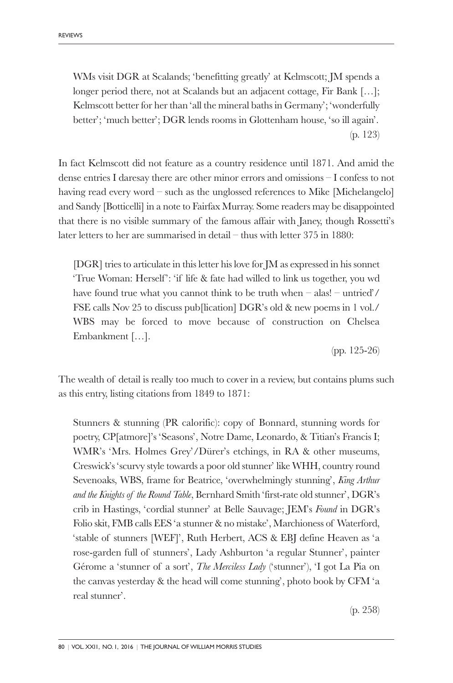WMs visit DGR at Scalands; 'benefitting greatly' at Kelmscott; JM spends a longer period there, not at Scalands but an adjacent cottage, Fir Bank [...]; Kelmscott better for her than 'all the mineral baths in Germany'; 'wonderfully better'; 'much better'; DGR lends rooms in Glottenham house, 'so ill again'. (p. 123)

In fact Kelmscott did not feature as a country residence until 1871. And amid the dense entries I daresay there are other minor errors and omissions – I confess to not having read every word – such as the unglossed references to Mike [Michelangelo] and Sandy [Botticelli] in a note to Fairfax Murray. Some readers may be disappointed that there is no visible summary of the famous affair with Janey, though Rossetti's later letters to her are summarised in detail – thus with letter 375 in 1880:

[DGR] tries to articulate in this letter his love for JM as expressed in his sonnet 'True Woman: Herself': 'if life & fate had willed to link us together, you wd have found true what you cannot think to be truth when – alas! – untried'/ FSE calls Nov 25 to discuss pub[lication] DGR's old & new poems in 1 vol./ WBS may be forced to move because of construction on Chelsea Embankment […].

(pp. 125-26)

The wealth of detail is really too much to cover in a review, but contains plums such as this entry, listing citations from 1849 to 1871:

Stunners & stunning (PR calorific): copy of Bonnard, stunning words for poetry, CP[atmore]'s 'Seasons', Notre Dame, Leonardo, & Titian's Francis I; WMR's 'Mrs. Holmes Grey'/Dürer's etchings, in RA & other museums, Creswick's 'scurvy style towards a poor old stunner' like WHH, country round Sevenoaks, WBS, frame for Beatrice, 'overwhelmingly stunning', *King Arthur and the Knights of the Round Table*, Bernhard Smith 'first-rate old stunner', DGR's crib in Hastings, 'cordial stunner' at Belle Sauvage; JEM's *Found* in DGR's Folio skit, FMB calls EES 'a stunner & no mistake', Marchioness of Waterford, 'stable of stunners [WEF]', Ruth Herbert, ACS & EBJ define Heaven as 'a rose-garden full of stunners', Lady Ashburton 'a regular Stunner', painter Gérome a 'stunner of a sort', *The Merciless Lady* ('stunner'), 'I got La Pia on the canvas yesterday & the head will come stunning', photo book by CFM 'a real stunner'.

(p. 258)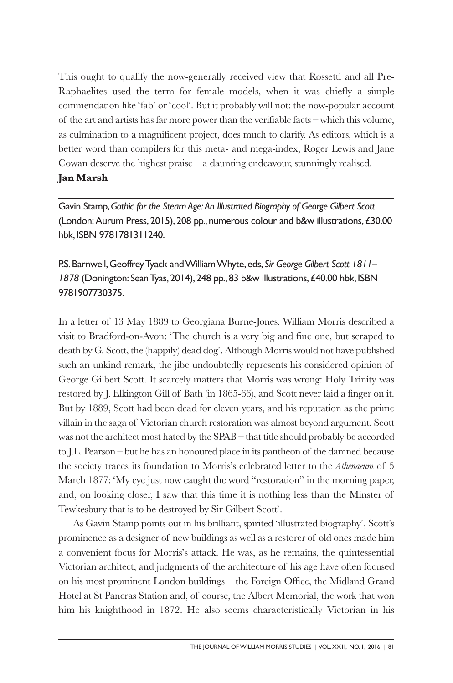This ought to qualify the now-generally received view that Rossetti and all Pre-Raphaelites used the term for female models, when it was chiefly a simple commendation like 'fab' or 'cool'. But it probably will not: the now-popular account of the art and artists has far more power than the verifiable facts – which this volume, as culmination to a magnificent project, does much to clarify. As editors, which is a better word than compilers for this meta- and mega-index, Roger Lewis and Jane Cowan deserve the highest praise  $-$  a daunting endeavour, stunningly realised. **Jan Marsh**

Gavin Stamp,*Gothic for the SteamAge: An Illustrated Biography of George Gilbert Scott* (London: Aurum Press, 2015), 208 pp., numerous colour and b&w illustrations, £30.00 hbk, ISBN 9781781311240.

# P.S.Barnwell,GeoffreyTyack andWilliamWhyte, eds, *Sir George Gilbert Scott 1811–* 1878 (Donington: Sean Tyas, 2014), 248 pp., 83 b&w illustrations, £40.00 hbk, ISBN 9781907730375.

In a letter of 13 May 1889 to Georgiana Burne-Jones, William Morris described a visit to Bradford-on-Avon: 'The church is a very big and fine one, but scraped to death by G. Scott, the (happily) dead dog'. Although Morris would not have published such an unkind remark, the jibe undoubtedly represents his considered opinion of George Gilbert Scott. It scarcely matters that Morris was wrong: Holy Trinity was restored by J. Elkington Gill of Bath (in 1865-66), and Scott never laid a finger on it. But by 1889, Scott had been dead for eleven years, and his reputation as the prime villain in the saga of Victorian church restoration was almost beyond argument. Scott was not the architect most hated by the SPAB – that title should probably be accorded to J.L. Pearson – but he has an honoured place in its pantheon of the damned because the society traces its foundation to Morris's celebrated letter to the *Athenaeum* of 5 March 1877: 'My eye just now caught the word "restoration" in the morning paper, and, on looking closer, I saw that this time it is nothing less than the Minster of Tewkesbury that is to be destroyed by Sir Gilbert Scott'.

As Gavin Stamp points out in his brilliant, spirited 'illustrated biography', Scott's prominence as a designer of new buildings as well as a restorer of old ones made him a convenient focus for Morris's attack. He was, as he remains, the quintessential Victorian architect, and judgments of the architecture of his age have often focused on his most prominent London buildings – the Foreign Office, the Midland Grand Hotel at St Pancras Station and, of course, the Albert Memorial, the work that won him his knighthood in 1872. He also seems characteristically Victorian in his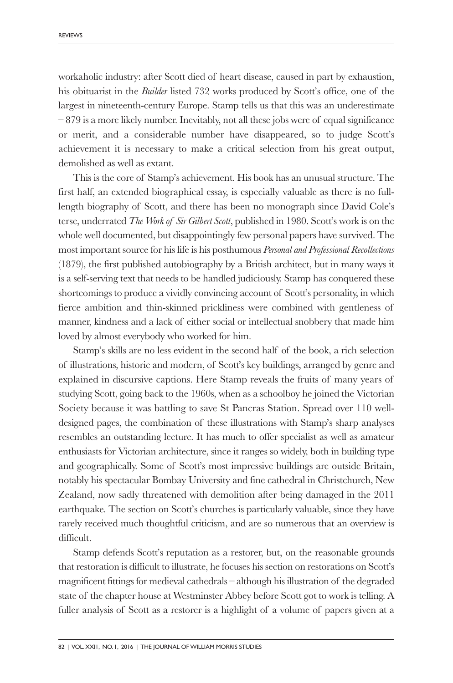workaholic industry: after Scott died of heart disease, caused in part by exhaustion, his obituarist in the *Builder* listed 732 works produced by Scott's office, one of the largest in nineteenth-century Europe. Stamp tells us that this was an underestimate – 879 is a more likely number. Inevitably, not all these jobs were of equal significance or merit, and a considerable number have disappeared, so to judge Scott's achievement it is necessary to make a critical selection from his great output, demolished as well as extant.

This is the core of Stamp's achievement. His book has an unusual structure. The first half, an extended biographical essay, is especially valuable as there is no fulllength biography of Scott, and there has been no monograph since David Cole's terse, underrated *The Work of Sir Gilbert Scott*, published in 1980. Scott's work is on the whole well documented, but disappointingly few personal papers have survived. The most important source for his life is his posthumous *Personal and Professional Recollections* (1879), the first published autobiography by a British architect, but in many ways it is a self-serving text that needs to be handled judiciously. Stamp has conquered these shortcomings to produce a vividly convincing account of Scott's personality, in which fierce ambition and thin-skinned prickliness were combined with gentleness of manner, kindness and a lack of either social or intellectual snobbery that made him loved by almost everybody who worked for him.

Stamp's skills are no less evident in the second half of the book, a rich selection of illustrations, historic and modern, of Scott's key buildings, arranged by genre and explained in discursive captions. Here Stamp reveals the fruits of many years of studying Scott, going back to the 1960s, when as a schoolboy he joined the Victorian Society because it was battling to save St Pancras Station. Spread over 110 welldesigned pages, the combination of these illustrations with Stamp's sharp analyses resembles an outstanding lecture. It has much to offer specialist as well as amateur enthusiasts for Victorian architecture, since it ranges so widely, both in building type and geographically. Some of Scott's most impressive buildings are outside Britain, notably his spectacular Bombay University and fine cathedral in Christchurch, New Zealand, now sadly threatened with demolition after being damaged in the 2011 earthquake. The section on Scott's churches is particularly valuable, since they have rarely received much thoughtful criticism, and are so numerous that an overview is difficult.

Stamp defends Scott's reputation as a restorer, but, on the reasonable grounds that restoration is difficult to illustrate, he focuses his section on restorations on Scott's magnificent fittings for medieval cathedrals – although his illustration of the degraded state of the chapter house at Westminster Abbey before Scott got to work is telling. A fuller analysis of Scott as a restorer is a highlight of a volume of papers given at a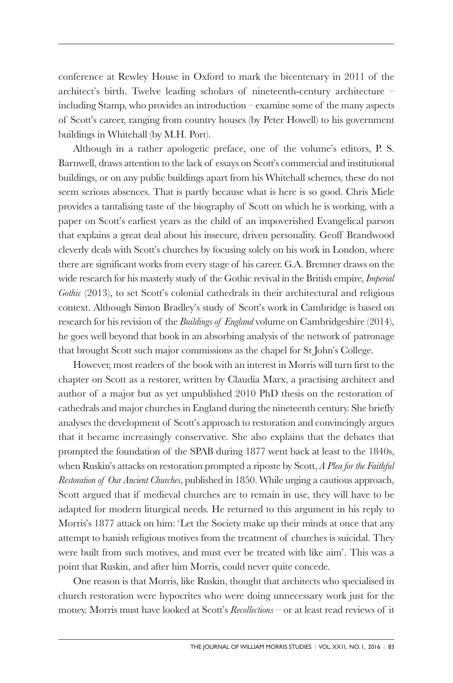conference at Rewley House in Oxford to mark the bicentenary in 2011 of the architect's birth. Twelve leading scholars of nineteenth-century architecture – including Stamp, who provides an introduction – examine some of the many aspects of Scott's career, ranging from country houses (by Peter Howell) to his government buildings in Whitehall (by M.H. Port).

Although in a rather apologetic preface, one of the volume's editors, P. S. Barnwell, draws attention to the lack of essays on Scott's commercial and institutional buildings, or on any public buildings apart from his Whitehall schemes, these do not seem serious absences. That is partly because what is here is so good. Chris Miele provides a tantalising taste of the biography of Scott on which he is working, with a paper on Scott's earliest years as the child of an impoverished Evangelical parson that explains a great deal about his insecure, driven personality. Geoff Brandwood cleverly deals with Scott's churches by focusing solely on his work in London, where there are significant works from every stage of his career. G.A. Bremner draws on the wide research for his masterly study of the Gothic revival in the British empire, *Imperial Gothic* (2013), to set Scott's colonial cathedrals in their architectural and religious context. Although Simon Bradley's study of Scott's work in Cambridge is based on research for his revision of the *Buildings of England* volume on Cambridgeshire (2014), he goes well beyond that book in an absorbing analysis of the network of patronage that brought Scott such major commissions as the chapel for St John's College.

However, most readers of the book with an interest in Morris will turn first to the chapter on Scott as a restorer, written by Claudia Marx, a practising architect and author of a major but as yet unpublished 2010 PhD thesis on the restoration of cathedrals and major churches in England during the nineteenth century. She briefly analyses the development of Scott's approach to restoration and convincingly argues that it became increasingly conservative. She also explains that the debates that prompted the foundation of the SPAB during 1877 went back at least to the 1840s, when Ruskin's attacks on restoration prompted a riposte by Scott, *A Plea for the Faithful Restoration of Our Ancient Churches*, published in 1850. While urging a cautious approach, Scott argued that if medieval churches are to remain in use, they will have to be adapted for modern liturgical needs. He returned to this argument in his reply to Morris's 1877 attack on him: 'Let the Society make up their minds at once that any attempt to banish religious motives from the treatment of churches is suicidal. They were built from such motives, and must ever be treated with like aim'. This was a point that Ruskin, and after him Morris, could never quite concede.

One reason is that Morris, like Ruskin, thought that architects who specialised in church restoration were hypocrites who were doing unnecessary work just for the money. Morris must have looked at Scott's *Recollections* – or at least read reviews of it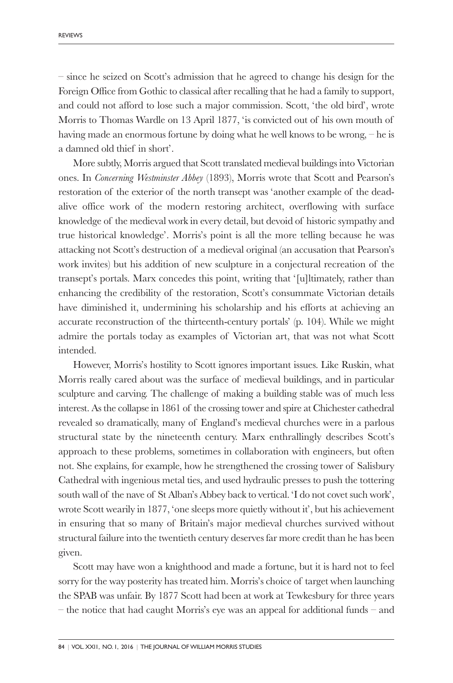– since he seized on Scott's admission that he agreed to change his design for the Foreign Office from Gothic to classical after recalling that he had a family to support, and could not afford to lose such a major commission. Scott, 'the old bird', wrote Morris to Thomas Wardle on 13 April 1877, 'is convicted out of his own mouth of having made an enormous fortune by doing what he well knows to be wrong, – he is a damned old thief in short'.

More subtly, Morris argued that Scott translated medieval buildings into Victorian ones. In *Concerning Westminster Abbey* (1893), Morris wrote that Scott and Pearson's restoration of the exterior of the north transept was 'another example of the deadalive office work of the modern restoring architect, overflowing with surface knowledge of the medieval work in every detail, but devoid of historic sympathy and true historical knowledge'. Morris's point is all the more telling because he was attacking not Scott's destruction of a medieval original (an accusation that Pearson's work invites) but his addition of new sculpture in a conjectural recreation of the transept's portals. Marx concedes this point, writing that '[u]ltimately, rather than enhancing the credibility of the restoration, Scott's consummate Victorian details have diminished it, undermining his scholarship and his efforts at achieving an accurate reconstruction of the thirteenth-century portals' (p. 104). While we might admire the portals today as examples of Victorian art, that was not what Scott intended.

However, Morris's hostility to Scott ignores important issues. Like Ruskin, what Morris really cared about was the surface of medieval buildings, and in particular sculpture and carving. The challenge of making a building stable was of much less interest. As the collapse in 1861 of the crossing tower and spire at Chichester cathedral revealed so dramatically, many of England's medieval churches were in a parlous structural state by the nineteenth century. Marx enthrallingly describes Scott's approach to these problems, sometimes in collaboration with engineers, but often not. She explains, for example, how he strengthened the crossing tower of Salisbury Cathedral with ingenious metal ties, and used hydraulic presses to push the tottering south wall of the nave of St Alban's Abbey back to vertical. 'I do not covet such work', wrote Scott wearily in 1877, 'one sleeps more quietly without it', but his achievement in ensuring that so many of Britain's major medieval churches survived without structural failure into the twentieth century deserves far more credit than he has been given.

Scott may have won a knighthood and made a fortune, but it is hard not to feel sorry for the way posterity has treated him. Morris's choice of target when launching the SPAB was unfair. By 1877 Scott had been at work at Tewkesbury for three years – the notice that had caught Morris's eye was an appeal for additional funds – and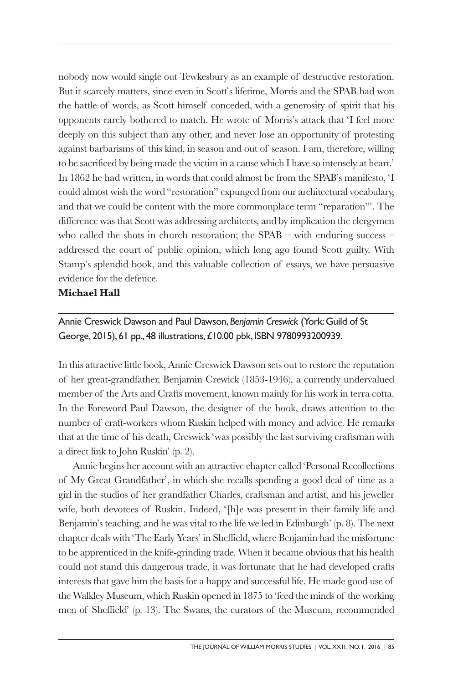nobody now would single out Tewkesbury as an example of destructive restoration. But it scarcely matters, since even in Scott's lifetime, Morris and the SPAB had won the battle of words, as Scott himself conceded, with a generosity of spirit that his opponents rarely bothered to match. He wrote of Morris's attack that 'I feel more deeply on this subject than any other, and never lose an opportunity of protesting against barbarisms of this kind, in season and out of season. I am, therefore, willing to be sacrificed by being made the victim in a cause which I have so intensely at heart.' In 1862 he had written, in words that could almost be from the SPAB's manifesto, 'I could almost wish the word "restoration" expunged from our architectural vocabulary, and that we could be content with the more commonplace term "reparation"'. The difference was that Scott was addressing architects, and by implication the clergymen who called the shots in church restoration; the SPAB – with enduring success – addressed the court of public opinion, which long ago found Scott guilty. With Stamp's splendid book, and this valuable collection of essays, we have persuasive evidence for the defence.

### **Michael Hall**

Annie Creswick Dawson and Paul Dawson,*Benjamin Creswick* (York:Guild of St George, 2015), 61 pp., 48 illustrations,£10.00 pbk, ISBN 9780993200939.

In this attractive little book, Annie Creswick Dawson sets out to restore the reputation of her great-grandfather, Benjamin Crewick (1853-1946), a currently undervalued member of the Arts and Crafts movement, known mainly for his work in terra cotta. In the Foreword Paul Dawson, the designer of the book, draws attention to the number of craft-workers whom Ruskin helped with money and advice. He remarks that at the time of his death, Creswick 'was possibly the last surviving craftsman with a direct link to John Ruskin' (p. 2).

Annie begins her account with an attractive chapter called 'Personal Recollections of My Great Grandfather', in which she recalls spending a good deal of time as a girl in the studios of her grandfather Charles, craftsman and artist, and his jeweller wife, both devotees of Ruskin. Indeed, '[h]e was present in their family life and Benjamin's teaching, and he was vital to the life we led in Edinburgh' (p. 8). The next chapter deals with 'The Early Years' in Sheffield, where Benjamin had the misfortune to be apprenticed in the knife-grinding trade. When it became obvious that his health could not stand this dangerous trade, it was fortunate that he had developed crafts interests that gave him the basis for a happy and successful life. He made good use of the Walkley Museum, which Ruskin opened in 1875 to 'feed the minds of the working men of Sheffield' (p. 13). The Swans, the curators of the Museum, recommended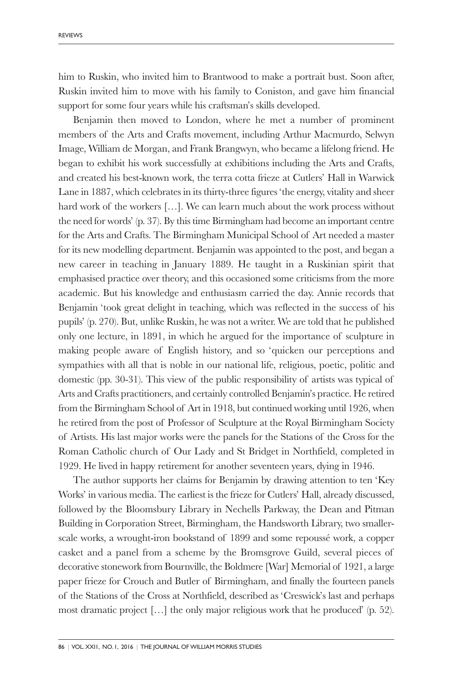him to Ruskin, who invited him to Brantwood to make a portrait bust. Soon after, Ruskin invited him to move with his family to Coniston, and gave him financial support for some four years while his craftsman's skills developed.

Benjamin then moved to London, where he met a number of prominent members of the Arts and Crafts movement, including Arthur Macmurdo, Selwyn Image, William de Morgan, and Frank Brangwyn, who became a lifelong friend. He began to exhibit his work successfully at exhibitions including the Arts and Crafts, and created his best-known work, the terra cotta frieze at Cutlers' Hall in Warwick Lane in 1887, which celebrates in its thirty-three figures 'the energy, vitality and sheer hard work of the workers [...]. We can learn much about the work process without the need for words' (p. 37). By this time Birmingham had become an important centre for the Arts and Crafts. The Birmingham Municipal School of Art needed a master for its new modelling department. Benjamin was appointed to the post, and began a new career in teaching in January 1889. He taught in a Ruskinian spirit that emphasised practice over theory, and this occasioned some criticisms from the more academic. But his knowledge and enthusiasm carried the day. Annie records that Benjamin 'took great delight in teaching, which was reflected in the success of his pupils' (p. 270). But, unlike Ruskin, he was not a writer. We are told that he published only one lecture, in 1891, in which he argued for the importance of sculpture in making people aware of English history, and so 'quicken our perceptions and sympathies with all that is noble in our national life, religious, poetic, politic and domestic (pp. 30-31). This view of the public responsibility of artists was typical of Arts and Crafts practitioners, and certainly controlled Benjamin's practice. He retired from the Birmingham School of Art in 1918, but continued working until 1926, when he retired from the post of Professor of Sculpture at the Royal Birmingham Society of Artists. His last major works were the panels for the Stations of the Cross for the Roman Catholic church of Our Lady and St Bridget in Northfield, completed in 1929. He lived in happy retirement for another seventeen years, dying in 1946.

The author supports her claims for Benjamin by drawing attention to ten 'Key Works' in various media. The earliest is the frieze for Cutlers' Hall, already discussed, followed by the Bloomsbury Library in Nechells Parkway, the Dean and Pitman Building in Corporation Street, Birmingham, the Handsworth Library, two smallerscale works, a wrought-iron bookstand of 1899 and some repoussé work, a copper casket and a panel from a scheme by the Bromsgrove Guild, several pieces of decorative stonework from Bournville, the Boldmere [War] Memorial of 1921, a large paper frieze for Crouch and Butler of Birmingham, and finally the fourteen panels of the Stations of the Cross at Northfield, described as 'Creswick's last and perhaps most dramatic project […] the only major religious work that he produced' (p. 52).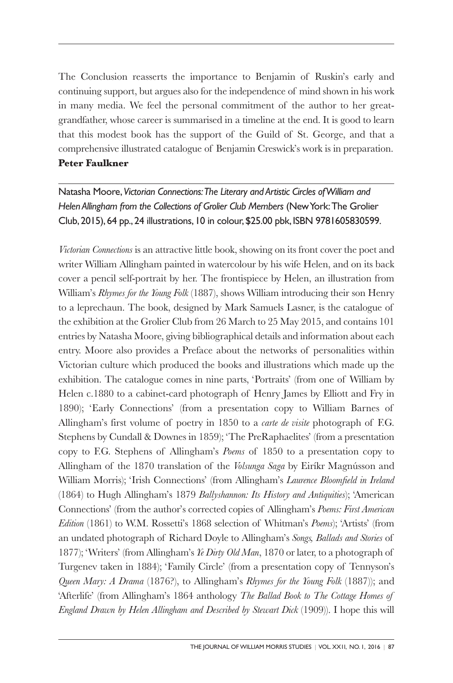The Conclusion reasserts the importance to Benjamin of Ruskin's early and continuing support, but argues also for the independence of mind shown in his work in many media. We feel the personal commitment of the author to her greatgrandfather, whose career is summarised in a timeline at the end. It is good to learn that this modest book has the support of the Guild of St. George, and that a comprehensive illustrated catalogue of Benjamin Creswick's work is in preparation. **Peter Faulkner**

Natasha Moore,*Victorian Connections:The Literary and Artistic Circles ofWilliam and Helen Allingham from the Collections of Grolier Club Members* (NewYork:The Grolier Club, 2015), 64 pp., 24 illustrations, 10 in colour,\$25.00 pbk, ISBN 9781605830599.

*Victorian Connections* is an attractive little book, showing on its front cover the poet and writer William Allingham painted in watercolour by his wife Helen, and on its back cover a pencil self-portrait by her. The frontispiece by Helen, an illustration from William's *Rhymes for the Young Folk* (1887), shows William introducing their son Henry to a leprechaun. The book, designed by Mark Samuels Lasner, is the catalogue of the exhibition at the Grolier Club from 26 March to 25 May 2015, and contains 101 entries by Natasha Moore, giving bibliographical details and information about each entry. Moore also provides a Preface about the networks of personalities within Victorian culture which produced the books and illustrations which made up the exhibition. The catalogue comes in nine parts, 'Portraits' (from one of William by Helen c.1880 to a cabinet-card photograph of Henry James by Elliott and Fry in 1890); 'Early Connections' (from a presentation copy to William Barnes of Allingham's first volume of poetry in 1850 to a *carte de visite* photograph of F.G. Stephens by Cundall & Downes in 1859); 'The PreRaphaelites' (from a presentation copy to F.G. Stephens of Allingham's *Poems* of 1850 to a presentation copy to Allingham of the 1870 translation of the *Volsunga Saga* by Eiríkr Magnússon and William Morris); 'Irish Connections' (from Allingham's *Laurence Bloomfield in Ireland* (1864) to Hugh Allingham's 1879 *Ballyshannon: Its History and Antiquities*); 'American Connections' (from the author's corrected copies of Allingham's *Poems: First American Edition* (1861) to W.M. Rossetti's 1868 selection of Whitman's *Poems*); 'Artists' (from an undated photograph of Richard Doyle to Allingham's *Songs, Ballads and Stories* of 1877); 'Writers' (from Allingham's *Ye Dirty Old Man*, 1870 or later, to a photograph of Turgenev taken in 1884); 'Family Circle' (from a presentation copy of Tennyson's *Queen Mary: A Drama* (1876?), to Allingham's *Rhymes for the Young Folk* (1887)); and 'Afterlife' (from Allingham's 1864 anthology *The Ballad Book to The Cottage Homes of England Drawn by Helen Allingham and Described by Stewart Dick* (1909)). I hope this will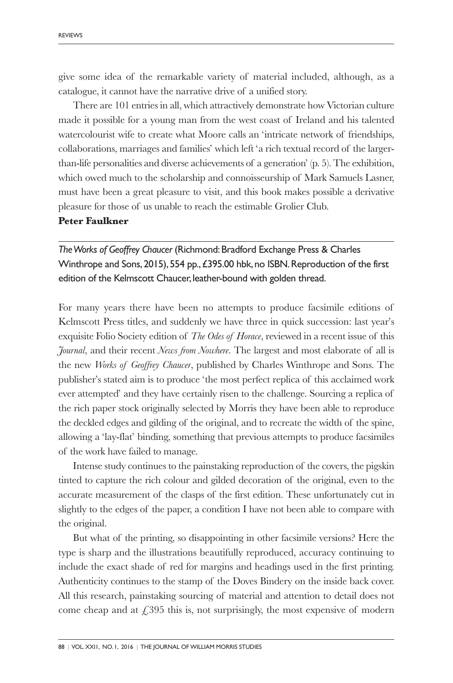give some idea of the remarkable variety of material included, although, as a catalogue, it cannot have the narrative drive of a unified story.

There are 101 entries in all, which attractively demonstrate how Victorian culture made it possible for a young man from the west coast of Ireland and his talented watercolourist wife to create what Moore calls an 'intricate network of friendships, collaborations, marriages and families' which left 'a rich textual record of the largerthan-life personalities and diverse achievements of a generation' (p. 5). The exhibition, which owed much to the scholarship and connoisseurship of Mark Samuels Lasner, must have been a great pleasure to visit, and this book makes possible a derivative pleasure for those of us unable to reach the estimable Grolier Club.

#### **Peter Faulkner**

*TheWorks of Geoffrey Chaucer* (Richmond:Bradford Exchange Press & Charles Winthrope and Sons, 2015), 554 pp., £395.00 hbk, no ISBN. Reproduction of the first edition of the Kelmscott Chaucer, leather-bound with golden thread.

For many years there have been no attempts to produce facsimile editions of Kelmscott Press titles, and suddenly we have three in quick succession: last year's exquisite Folio Society edition of *The Odes of Horace*, reviewed in a recent issue of this *Journal*, and their recent *News from Nowhere*. The largest and most elaborate of all is the new *Works of Geoffrey Chaucer*, published by Charles Winthrope and Sons. The publisher's stated aim is to produce 'the most perfect replica of this acclaimed work ever attempted' and they have certainly risen to the challenge. Sourcing a replica of the rich paper stock originally selected by Morris they have been able to reproduce the deckled edges and gilding of the original, and to recreate the width of the spine, allowing a 'lay-flat' binding, something that previous attempts to produce facsimiles of the work have failed to manage.

Intense study continues to the painstaking reproduction of the covers, the pigskin tinted to capture the rich colour and gilded decoration of the original, even to the accurate measurement of the clasps of the first edition. These unfortunately cut in slightly to the edges of the paper, a condition I have not been able to compare with the original.

But what of the printing, so disappointing in other facsimile versions? Here the type is sharp and the illustrations beautifully reproduced, accuracy continuing to include the exact shade of red for margins and headings used in the first printing. Authenticity continues to the stamp of the Doves Bindery on the inside back cover. All this research, painstaking sourcing of material and attention to detail does not come cheap and at  $£395$  this is, not surprisingly, the most expensive of modern